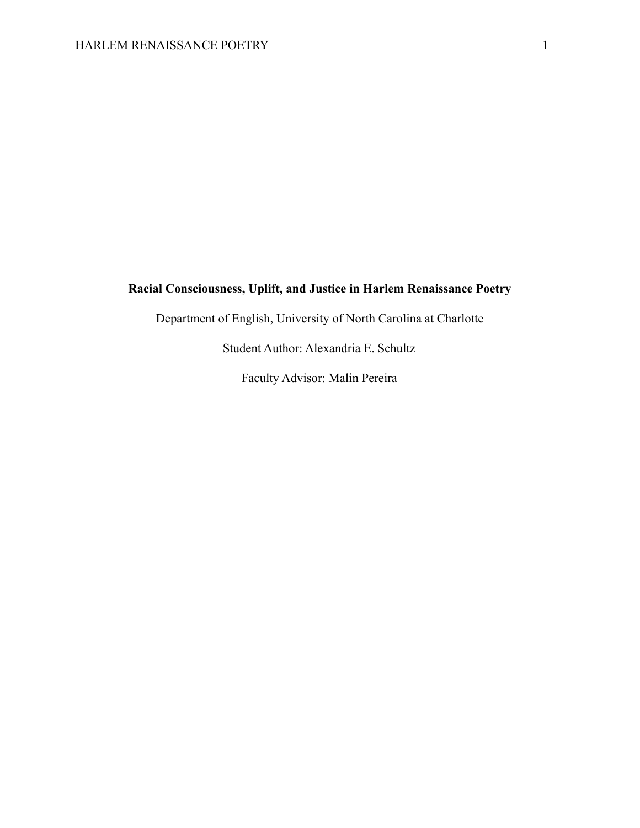# **Racial Consciousness, Uplift, and Justice in Harlem Renaissance Poetry**

Department of English, University of North Carolina at Charlotte

Student Author: Alexandria E. Schultz

Faculty Advisor: Malin Pereira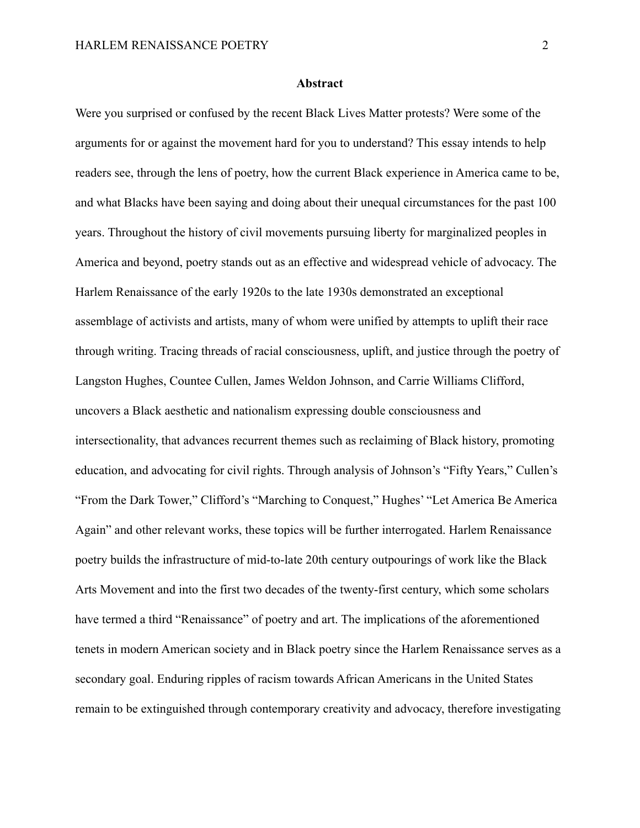### **Abstract**

Were you surprised or confused by the recent Black Lives Matter protests? Were some of the arguments for or against the movement hard for you to understand? This essay intends to help readers see, through the lens of poetry, how the current Black experience in America came to be, and what Blacks have been saying and doing about their unequal circumstances for the past 100 years. Throughout the history of civil movements pursuing liberty for marginalized peoples in America and beyond, poetry stands out as an effective and widespread vehicle of advocacy. The Harlem Renaissance of the early 1920s to the late 1930s demonstrated an exceptional assemblage of activists and artists, many of whom were unified by attempts to uplift their race through writing. Tracing threads of racial consciousness, uplift, and justice through the poetry of Langston Hughes, Countee Cullen, James Weldon Johnson, and Carrie Williams Clifford, uncovers a Black aesthetic and nationalism expressing double consciousness and intersectionality, that advances recurrent themes such as reclaiming of Black history, promoting education, and advocating for civil rights. Through analysis of Johnson's "Fifty Years," Cullen's "From the Dark Tower," Clifford's "Marching to Conquest," Hughes' "Let America Be America Again" and other relevant works, these topics will be further interrogated. Harlem Renaissance poetry builds the infrastructure of mid-to-late 20th century outpourings of work like the Black Arts Movement and into the first two decades of the twenty-first century, which some scholars have termed a third "Renaissance" of poetry and art. The implications of the aforementioned tenets in modern American society and in Black poetry since the Harlem Renaissance serves as a secondary goal. Enduring ripples of racism towards African Americans in the United States remain to be extinguished through contemporary creativity and advocacy, therefore investigating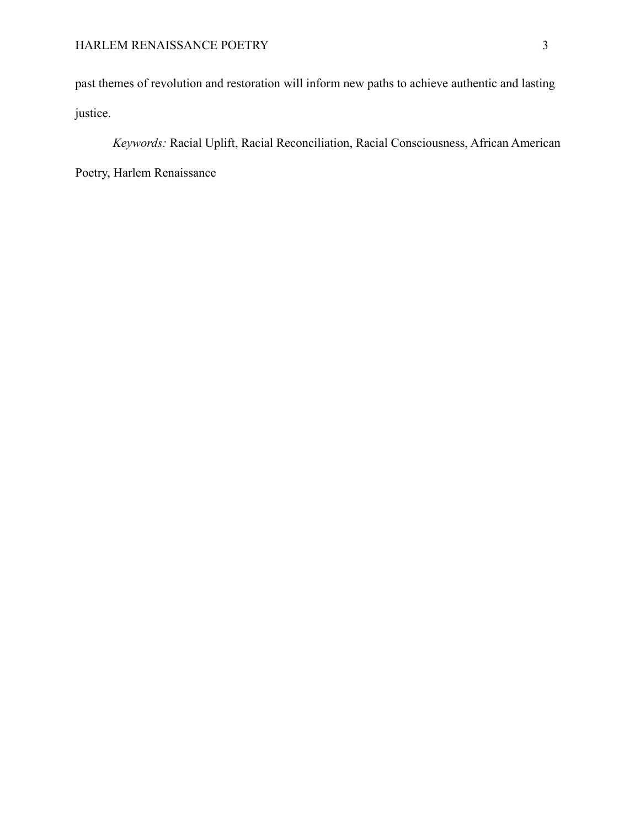past themes of revolution and restoration will inform new paths to achieve authentic and lasting justice.

*Keywords:* Racial Uplift, Racial Reconciliation, Racial Consciousness, African American Poetry, Harlem Renaissance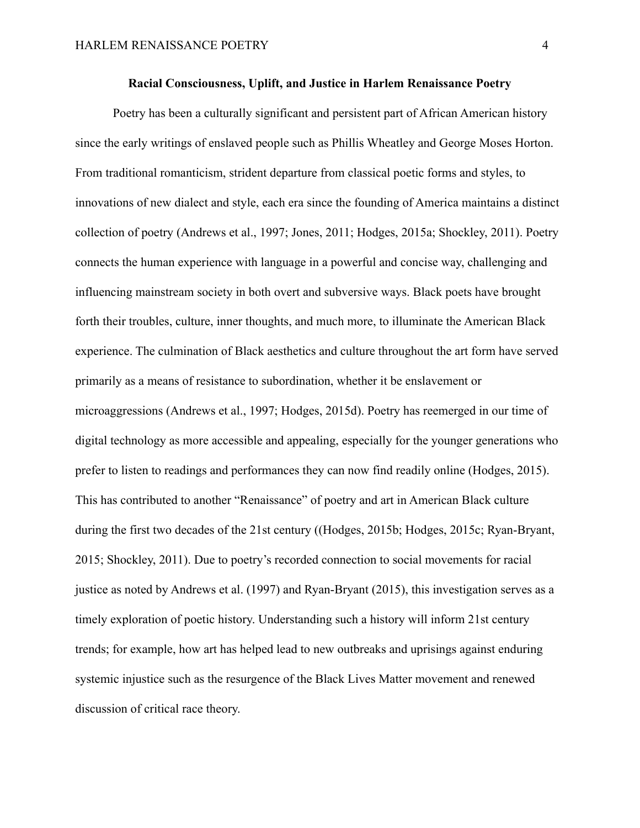## **Racial Consciousness, Uplift, and Justice in Harlem Renaissance Poetry**

Poetry has been a culturally significant and persistent part of African American history since the early writings of enslaved people such as Phillis Wheatley and George Moses Horton. From traditional romanticism, strident departure from classical poetic forms and styles, to innovations of new dialect and style, each era since the founding of America maintains a distinct collection of poetry (Andrews et al., 1997; Jones, 2011; Hodges, 2015a; Shockley, 2011). Poetry connects the human experience with language in a powerful and concise way, challenging and influencing mainstream society in both overt and subversive ways. Black poets have brought forth their troubles, culture, inner thoughts, and much more, to illuminate the American Black experience. The culmination of Black aesthetics and culture throughout the art form have served primarily as a means of resistance to subordination, whether it be enslavement or microaggressions (Andrews et al., 1997; Hodges, 2015d). Poetry has reemerged in our time of digital technology as more accessible and appealing, especially for the younger generations who prefer to listen to readings and performances they can now find readily online (Hodges, 2015). This has contributed to another "Renaissance" of poetry and art in American Black culture during the first two decades of the 21st century ((Hodges, 2015b; Hodges, 2015c; Ryan-Bryant, 2015; Shockley, 2011). Due to poetry's recorded connection to social movements for racial justice as noted by Andrews et al. (1997) and Ryan-Bryant (2015), this investigation serves as a timely exploration of poetic history. Understanding such a history will inform 21st century trends; for example, how art has helped lead to new outbreaks and uprisings against enduring systemic injustice such as the resurgence of the Black Lives Matter movement and renewed discussion of critical race theory.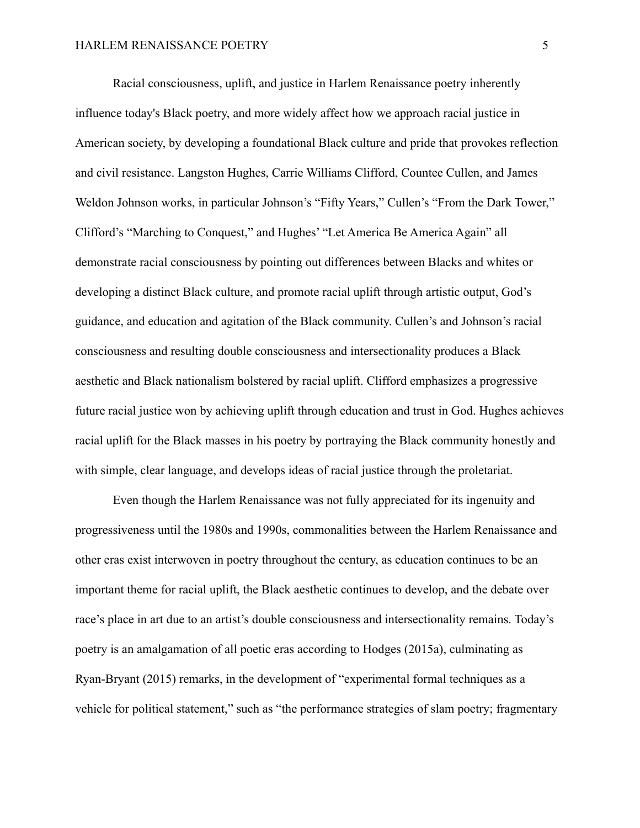Racial consciousness, uplift, and justice in Harlem Renaissance poetry inherently influence today's Black poetry, and more widely affect how we approach racial justice in American society, by developing a foundational Black culture and pride that provokes reflection and civil resistance. Langston Hughes, Carrie Williams Clifford, Countee Cullen, and James Weldon Johnson works, in particular Johnson's "Fifty Years," Cullen's "From the Dark Tower," Clifford's "Marching to Conquest," and Hughes' "Let America Be America Again" all demonstrate racial consciousness by pointing out differences between Blacks and whites or developing a distinct Black culture, and promote racial uplift through artistic output, God's guidance, and education and agitation of the Black community. Cullen's and Johnson's racial consciousness and resulting double consciousness and intersectionality produces a Black aesthetic and Black nationalism bolstered by racial uplift. Clifford emphasizes a progressive future racial justice won by achieving uplift through education and trust in God. Hughes achieves racial uplift for the Black masses in his poetry by portraying the Black community honestly and with simple, clear language, and develops ideas of racial justice through the proletariat.

Even though the Harlem Renaissance was not fully appreciated for its ingenuity and progressiveness until the 1980s and 1990s, commonalities between the Harlem Renaissance and other eras exist interwoven in poetry throughout the century, as education continues to be an important theme for racial uplift, the Black aesthetic continues to develop, and the debate over race's place in art due to an artist's double consciousness and intersectionality remains. Today's poetry is an amalgamation of all poetic eras according to Hodges (2015a), culminating as Ryan-Bryant (2015) remarks, in the development of "experimental formal techniques as a vehicle for political statement," such as "the performance strategies of slam poetry; fragmentary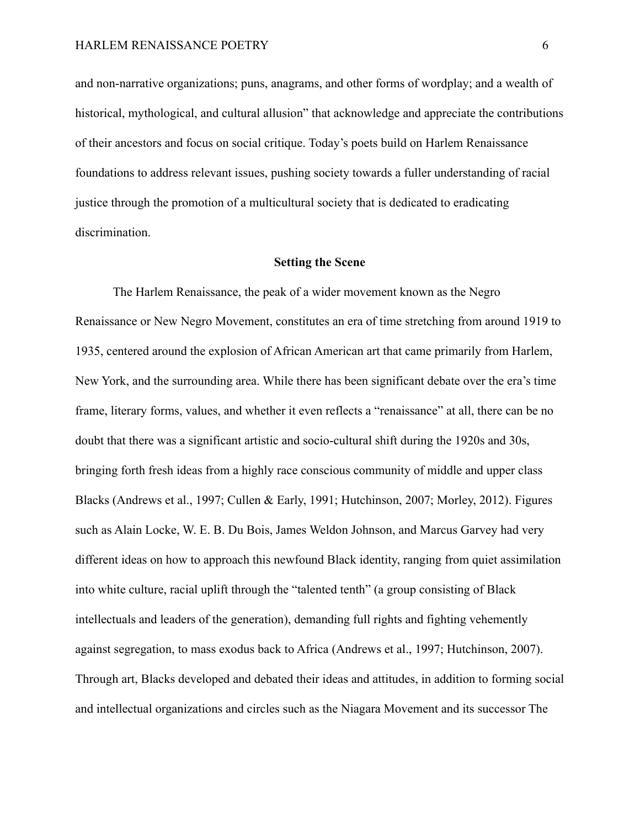and non-narrative organizations; puns, anagrams, and other forms of wordplay; and a wealth of historical, mythological, and cultural allusion" that acknowledge and appreciate the contributions of their ancestors and focus on social critique. Today's poets build on Harlem Renaissance foundations to address relevant issues, pushing society towards a fuller understanding of racial justice through the promotion of a multicultural society that is dedicated to eradicating discrimination.

### **Setting the Scene**

The Harlem Renaissance, the peak of a wider movement known as the Negro Renaissance or New Negro Movement, constitutes an era of time stretching from around 1919 to 1935, centered around the explosion of African American art that came primarily from Harlem, New York, and the surrounding area. While there has been significant debate over the era's time frame, literary forms, values, and whether it even reflects a "renaissance" at all, there can be no doubt that there was a significant artistic and socio-cultural shift during the 1920s and 30s, bringing forth fresh ideas from a highly race conscious community of middle and upper class Blacks (Andrews et al., 1997; Cullen & Early, 1991; Hutchinson, 2007; Morley, 2012). Figures such as Alain Locke, W. E. B. Du Bois, James Weldon Johnson, and Marcus Garvey had very different ideas on how to approach this newfound Black identity, ranging from quiet assimilation into white culture, racial uplift through the "talented tenth" (a group consisting of Black intellectuals and leaders of the generation), demanding full rights and fighting vehemently against segregation, to mass exodus back to Africa (Andrews et al., 1997; Hutchinson, 2007). Through art, Blacks developed and debated their ideas and attitudes, in addition to forming social and intellectual organizations and circles such as the Niagara Movement and its successor The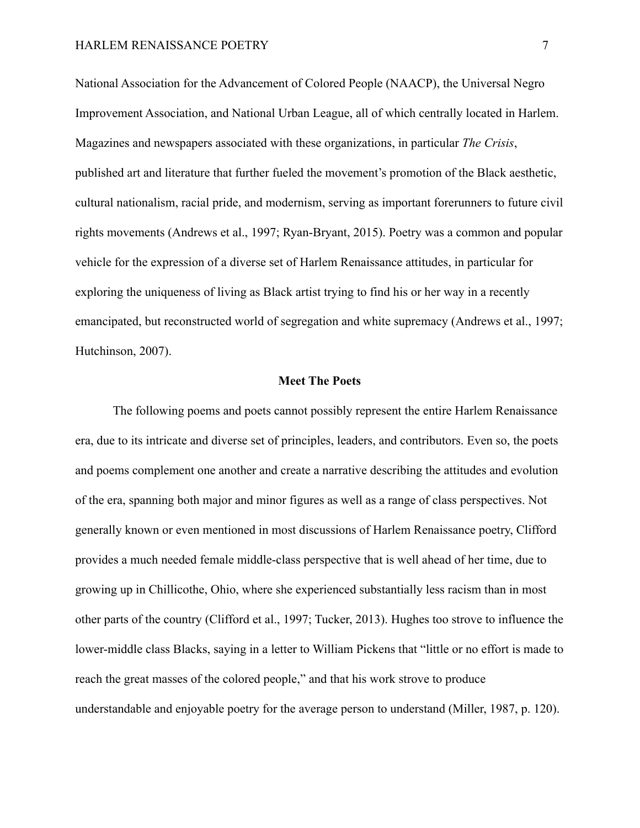National Association for the Advancement of Colored People (NAACP), the Universal Negro Improvement Association, and National Urban League, all of which centrally located in Harlem. Magazines and newspapers associated with these organizations, in particular *The Crisis*, published art and literature that further fueled the movement's promotion of the Black aesthetic, cultural nationalism, racial pride, and modernism, serving as important forerunners to future civil rights movements (Andrews et al., 1997; Ryan-Bryant, 2015). Poetry was a common and popular vehicle for the expression of a diverse set of Harlem Renaissance attitudes, in particular for exploring the uniqueness of living as Black artist trying to find his or her way in a recently emancipated, but reconstructed world of segregation and white supremacy (Andrews et al., 1997; Hutchinson, 2007).

# **Meet The Poets**

The following poems and poets cannot possibly represent the entire Harlem Renaissance era, due to its intricate and diverse set of principles, leaders, and contributors. Even so, the poets and poems complement one another and create a narrative describing the attitudes and evolution of the era, spanning both major and minor figures as well as a range of class perspectives. Not generally known or even mentioned in most discussions of Harlem Renaissance poetry, Clifford provides a much needed female middle-class perspective that is well ahead of her time, due to growing up in Chillicothe, Ohio, where she experienced substantially less racism than in most other parts of the country (Clifford et al., 1997; Tucker, 2013). Hughes too strove to influence the lower-middle class Blacks, saying in a letter to William Pickens that "little or no effort is made to reach the great masses of the colored people," and that his work strove to produce understandable and enjoyable poetry for the average person to understand (Miller, 1987, p. 120).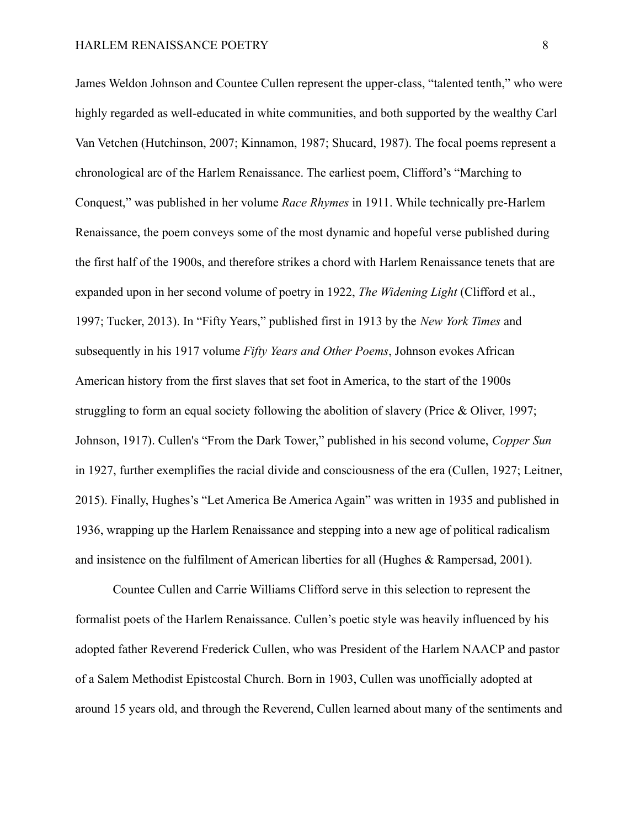James Weldon Johnson and Countee Cullen represent the upper-class, "talented tenth," who were highly regarded as well-educated in white communities, and both supported by the wealthy Carl Van Vetchen (Hutchinson, 2007; Kinnamon, 1987; Shucard, 1987). The focal poems represent a chronological arc of the Harlem Renaissance. The earliest poem, Clifford's "Marching to Conquest," was published in her volume *Race Rhymes* in 1911. While technically pre-Harlem Renaissance, the poem conveys some of the most dynamic and hopeful verse published during the first half of the 1900s, and therefore strikes a chord with Harlem Renaissance tenets that are expanded upon in her second volume of poetry in 1922, *The Widening Light* (Clifford et al., 1997; Tucker, 2013). In "Fifty Years," published first in 1913 by the *New York Times* and subsequently in his 1917 volume *Fifty Years and Other Poems*, Johnson evokes African American history from the first slaves that set foot in America, to the start of the 1900s struggling to form an equal society following the abolition of slavery (Price & Oliver, 1997; Johnson, 1917). Cullen's "From the Dark Tower," published in his second volume, *Copper Sun* in 1927, further exemplifies the racial divide and consciousness of the era (Cullen, 1927; Leitner, 2015). Finally, Hughes's "Let America Be America Again" was written in 1935 and published in 1936, wrapping up the Harlem Renaissance and stepping into a new age of political radicalism and insistence on the fulfilment of American liberties for all (Hughes & Rampersad, 2001).

Countee Cullen and Carrie Williams Clifford serve in this selection to represent the formalist poets of the Harlem Renaissance. Cullen's poetic style was heavily influenced by his adopted father Reverend Frederick Cullen, who was President of the Harlem NAACP and pastor of a Salem Methodist Epistcostal Church. Born in 1903, Cullen was unofficially adopted at around 15 years old, and through the Reverend, Cullen learned about many of the sentiments and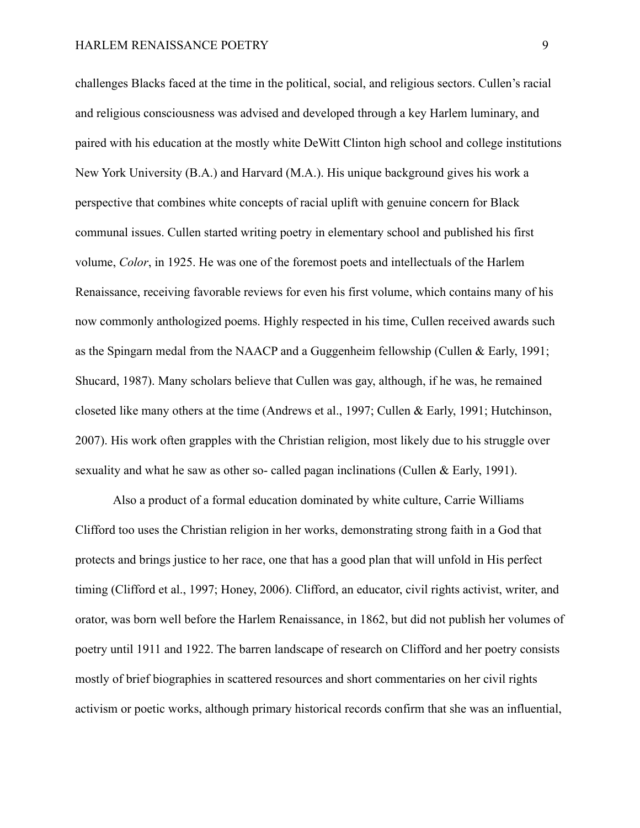challenges Blacks faced at the time in the political, social, and religious sectors. Cullen's racial and religious consciousness was advised and developed through a key Harlem luminary, and paired with his education at the mostly white DeWitt Clinton high school and college institutions New York University (B.A.) and Harvard (M.A.). His unique background gives his work a perspective that combines white concepts of racial uplift with genuine concern for Black communal issues. Cullen started writing poetry in elementary school and published his first volume, *Color*, in 1925. He was one of the foremost poets and intellectuals of the Harlem Renaissance, receiving favorable reviews for even his first volume, which contains many of his now commonly anthologized poems. Highly respected in his time, Cullen received awards such as the Spingarn medal from the NAACP and a Guggenheim fellowship (Cullen & Early, 1991; Shucard, 1987). Many scholars believe that Cullen was gay, although, if he was, he remained closeted like many others at the time (Andrews et al., 1997; Cullen & Early, 1991; Hutchinson, 2007). His work often grapples with the Christian religion, most likely due to his struggle over sexuality and what he saw as other so- called pagan inclinations (Cullen & Early, 1991).

Also a product of a formal education dominated by white culture, Carrie Williams Clifford too uses the Christian religion in her works, demonstrating strong faith in a God that protects and brings justice to her race, one that has a good plan that will unfold in His perfect timing (Clifford et al., 1997; Honey, 2006). Clifford, an educator, civil rights activist, writer, and orator, was born well before the Harlem Renaissance, in 1862, but did not publish her volumes of poetry until 1911 and 1922. The barren landscape of research on Clifford and her poetry consists mostly of brief biographies in scattered resources and short commentaries on her civil rights activism or poetic works, although primary historical records confirm that she was an influential,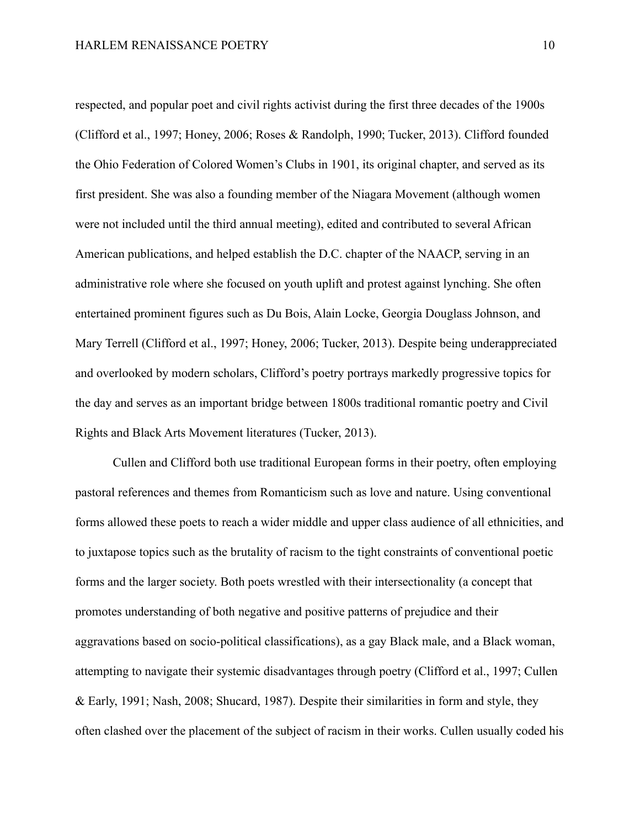respected, and popular poet and civil rights activist during the first three decades of the 1900s (Clifford et al., 1997; Honey, 2006; Roses & Randolph, 1990; Tucker, 2013). Clifford founded the Ohio Federation of Colored Women's Clubs in 1901, its original chapter, and served as its first president. She was also a founding member of the Niagara Movement (although women were not included until the third annual meeting), edited and contributed to several African American publications, and helped establish the D.C. chapter of the NAACP, serving in an administrative role where she focused on youth uplift and protest against lynching. She often entertained prominent figures such as Du Bois, Alain Locke, Georgia Douglass Johnson, and Mary Terrell (Clifford et al., 1997; Honey, 2006; Tucker, 2013). Despite being underappreciated and overlooked by modern scholars, Clifford's poetry portrays markedly progressive topics for the day and serves as an important bridge between 1800s traditional romantic poetry and Civil Rights and Black Arts Movement literatures (Tucker, 2013).

Cullen and Clifford both use traditional European forms in their poetry, often employing pastoral references and themes from Romanticism such as love and nature. Using conventional forms allowed these poets to reach a wider middle and upper class audience of all ethnicities, and to juxtapose topics such as the brutality of racism to the tight constraints of conventional poetic forms and the larger society. Both poets wrestled with their intersectionality (a concept that promotes understanding of both negative and positive patterns of prejudice and their aggravations based on socio-political classifications), as a gay Black male, and a Black woman, attempting to navigate their systemic disadvantages through poetry (Clifford et al., 1997; Cullen & Early, 1991; Nash, 2008; Shucard, 1987). Despite their similarities in form and style, they often clashed over the placement of the subject of racism in their works. Cullen usually coded his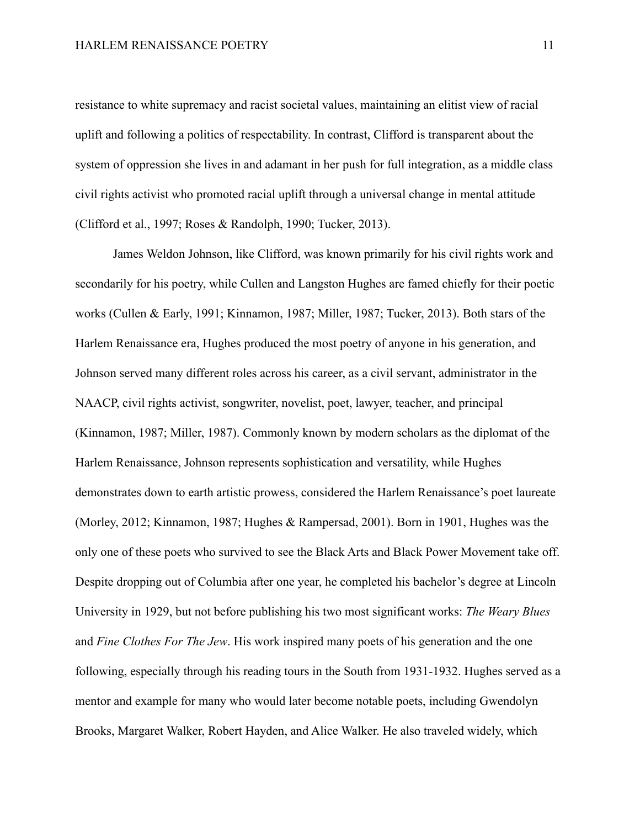resistance to white supremacy and racist societal values, maintaining an elitist view of racial uplift and following a politics of respectability. In contrast, Clifford is transparent about the system of oppression she lives in and adamant in her push for full integration, as a middle class civil rights activist who promoted racial uplift through a universal change in mental attitude (Clifford et al., 1997; Roses & Randolph, 1990; Tucker, 2013).

James Weldon Johnson, like Clifford, was known primarily for his civil rights work and secondarily for his poetry, while Cullen and Langston Hughes are famed chiefly for their poetic works (Cullen & Early, 1991; Kinnamon, 1987; Miller, 1987; Tucker, 2013). Both stars of the Harlem Renaissance era, Hughes produced the most poetry of anyone in his generation, and Johnson served many different roles across his career, as a civil servant, administrator in the NAACP, civil rights activist, songwriter, novelist, poet, lawyer, teacher, and principal (Kinnamon, 1987; Miller, 1987). Commonly known by modern scholars as the diplomat of the Harlem Renaissance, Johnson represents sophistication and versatility, while Hughes demonstrates down to earth artistic prowess, considered the Harlem Renaissance's poet laureate (Morley, 2012; Kinnamon, 1987; Hughes & Rampersad, 2001). Born in 1901, Hughes was the only one of these poets who survived to see the Black Arts and Black Power Movement take off. Despite dropping out of Columbia after one year, he completed his bachelor's degree at Lincoln University in 1929, but not before publishing his two most significant works: *The Weary Blues* and *Fine Clothes For The Jew*. His work inspired many poets of his generation and the one following, especially through his reading tours in the South from 1931-1932. Hughes served as a mentor and example for many who would later become notable poets, including Gwendolyn Brooks, Margaret Walker, Robert Hayden, and Alice Walker. He also traveled widely, which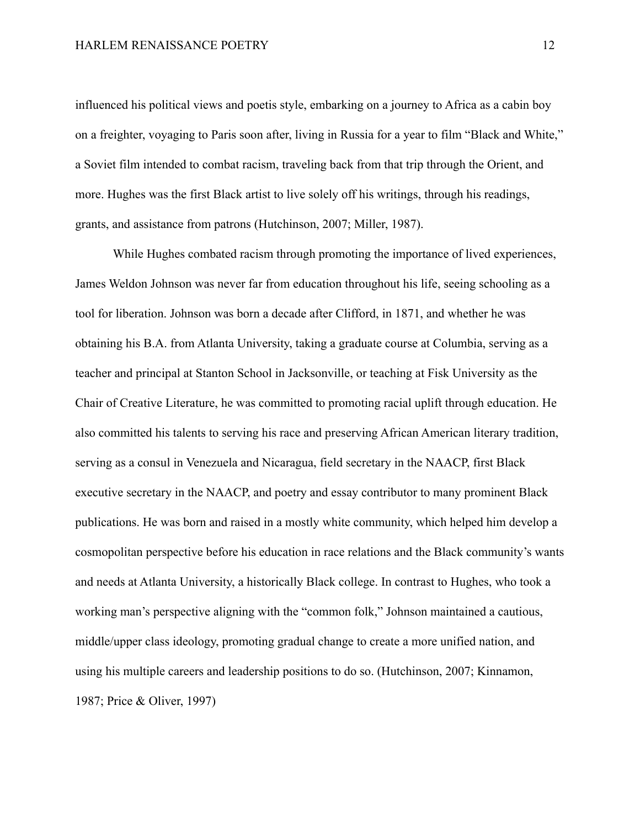influenced his political views and poetis style, embarking on a journey to Africa as a cabin boy on a freighter, voyaging to Paris soon after, living in Russia for a year to film "Black and White," a Soviet film intended to combat racism, traveling back from that trip through the Orient, and more. Hughes was the first Black artist to live solely off his writings, through his readings, grants, and assistance from patrons (Hutchinson, 2007; Miller, 1987).

While Hughes combated racism through promoting the importance of lived experiences, James Weldon Johnson was never far from education throughout his life, seeing schooling as a tool for liberation. Johnson was born a decade after Clifford, in 1871, and whether he was obtaining his B.A. from Atlanta University, taking a graduate course at Columbia, serving as a teacher and principal at Stanton School in Jacksonville, or teaching at Fisk University as the Chair of Creative Literature, he was committed to promoting racial uplift through education. He also committed his talents to serving his race and preserving African American literary tradition, serving as a consul in Venezuela and Nicaragua, field secretary in the NAACP, first Black executive secretary in the NAACP, and poetry and essay contributor to many prominent Black publications. He was born and raised in a mostly white community, which helped him develop a cosmopolitan perspective before his education in race relations and the Black community's wants and needs at Atlanta University, a historically Black college. In contrast to Hughes, who took a working man's perspective aligning with the "common folk," Johnson maintained a cautious, middle/upper class ideology, promoting gradual change to create a more unified nation, and using his multiple careers and leadership positions to do so. (Hutchinson, 2007; Kinnamon, 1987; Price & Oliver, 1997)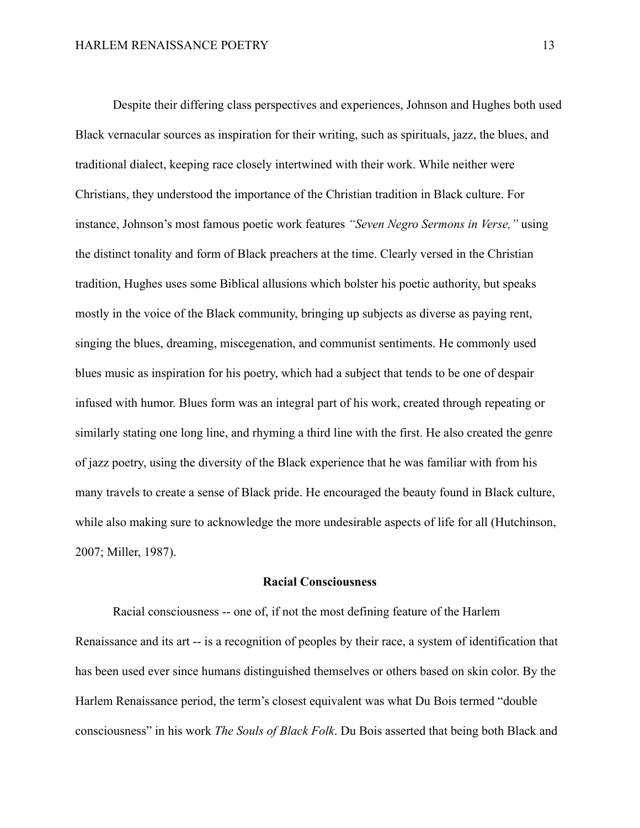Despite their differing class perspectives and experiences, Johnson and Hughes both used Black vernacular sources as inspiration for their writing, such as spirituals, jazz, the blues, and traditional dialect, keeping race closely intertwined with their work. While neither were Christians, they understood the importance of the Christian tradition in Black culture. For instance, Johnson's most famous poetic work features *"Seven Negro Sermons in Verse,"* using the distinct tonality and form of Black preachers at the time. Clearly versed in the Christian tradition, Hughes uses some Biblical allusions which bolster his poetic authority, but speaks mostly in the voice of the Black community, bringing up subjects as diverse as paying rent, singing the blues, dreaming, miscegenation, and communist sentiments. He commonly used blues music as inspiration for his poetry, which had a subject that tends to be one of despair infused with humor. Blues form was an integral part of his work, created through repeating or similarly stating one long line, and rhyming a third line with the first. He also created the genre of jazz poetry, using the diversity of the Black experience that he was familiar with from his many travels to create a sense of Black pride. He encouraged the beauty found in Black culture, while also making sure to acknowledge the more undesirable aspects of life for all (Hutchinson, 2007; Miller, 1987).

# **Racial Consciousness**

Racial consciousness -- one of, if not the most defining feature of the Harlem Renaissance and its art -- is a recognition of peoples by their race, a system of identification that has been used ever since humans distinguished themselves or others based on skin color. By the Harlem Renaissance period, the term's closest equivalent was what Du Bois termed "double consciousness" in his work *The Souls of Black Folk*. Du Bois asserted that being both Black and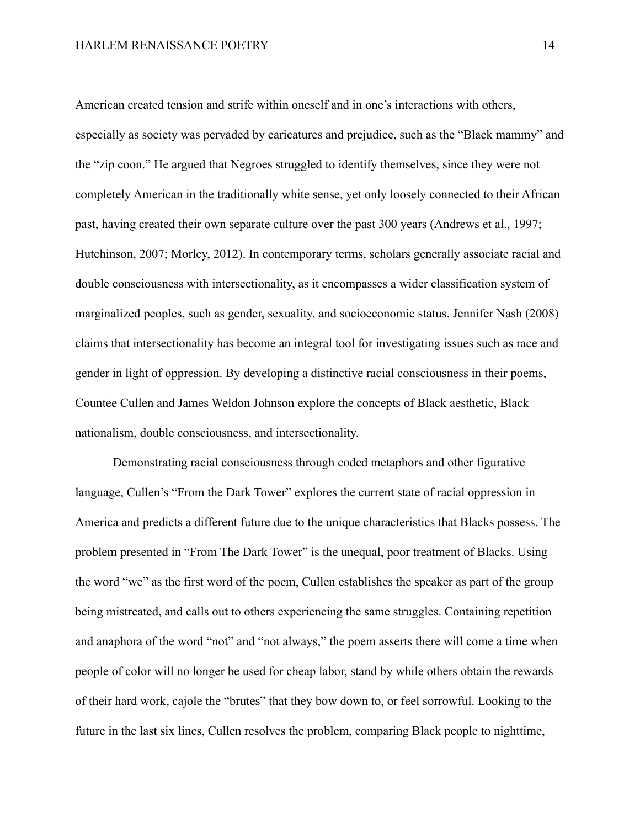American created tension and strife within oneself and in one's interactions with others, especially as society was pervaded by caricatures and prejudice, such as the "Black mammy" and the "zip coon." He argued that Negroes struggled to identify themselves, since they were not completely American in the traditionally white sense, yet only loosely connected to their African past, having created their own separate culture over the past 300 years (Andrews et al., 1997; Hutchinson, 2007; Morley, 2012). In contemporary terms, scholars generally associate racial and double consciousness with intersectionality, as it encompasses a wider classification system of marginalized peoples, such as gender, sexuality, and socioeconomic status. Jennifer Nash (2008) claims that intersectionality has become an integral tool for investigating issues such as race and gender in light of oppression. By developing a distinctive racial consciousness in their poems, Countee Cullen and James Weldon Johnson explore the concepts of Black aesthetic, Black nationalism, double consciousness, and intersectionality.

Demonstrating racial consciousness through coded metaphors and other figurative language, Cullen's "From the Dark Tower" explores the current state of racial oppression in America and predicts a different future due to the unique characteristics that Blacks possess. The problem presented in "From The Dark Tower" is the unequal, poor treatment of Blacks. Using the word "we" as the first word of the poem, Cullen establishes the speaker as part of the group being mistreated, and calls out to others experiencing the same struggles. Containing repetition and anaphora of the word "not" and "not always," the poem asserts there will come a time when people of color will no longer be used for cheap labor, stand by while others obtain the rewards of their hard work, cajole the "brutes" that they bow down to, or feel sorrowful. Looking to the future in the last six lines, Cullen resolves the problem, comparing Black people to nighttime,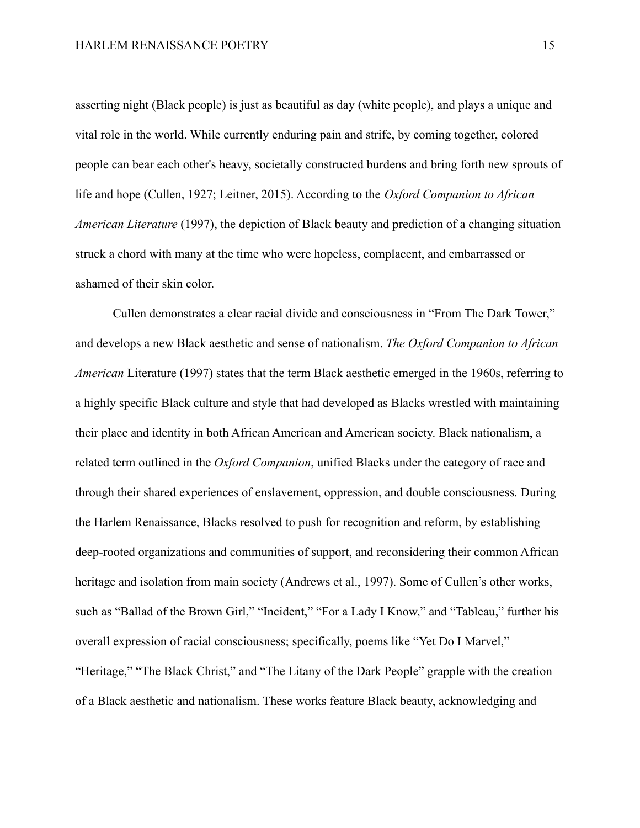asserting night (Black people) is just as beautiful as day (white people), and plays a unique and vital role in the world. While currently enduring pain and strife, by coming together, colored people can bear each other's heavy, societally constructed burdens and bring forth new sprouts of life and hope (Cullen, 1927; Leitner, 2015). According to the *Oxford Companion to African American Literature* (1997), the depiction of Black beauty and prediction of a changing situation struck a chord with many at the time who were hopeless, complacent, and embarrassed or ashamed of their skin color.

Cullen demonstrates a clear racial divide and consciousness in "From The Dark Tower," and develops a new Black aesthetic and sense of nationalism. *The Oxford Companion to African American* Literature (1997) states that the term Black aesthetic emerged in the 1960s, referring to a highly specific Black culture and style that had developed as Blacks wrestled with maintaining their place and identity in both African American and American society. Black nationalism, a related term outlined in the *Oxford Companion*, unified Blacks under the category of race and through their shared experiences of enslavement, oppression, and double consciousness. During the Harlem Renaissance, Blacks resolved to push for recognition and reform, by establishing deep-rooted organizations and communities of support, and reconsidering their common African heritage and isolation from main society (Andrews et al., 1997). Some of Cullen's other works, such as "Ballad of the Brown Girl," "Incident," "For a Lady I Know," and "Tableau," further his overall expression of racial consciousness; specifically, poems like "Yet Do I Marvel," "Heritage," "The Black Christ," and "The Litany of the Dark People" grapple with the creation of a Black aesthetic and nationalism. These works feature Black beauty, acknowledging and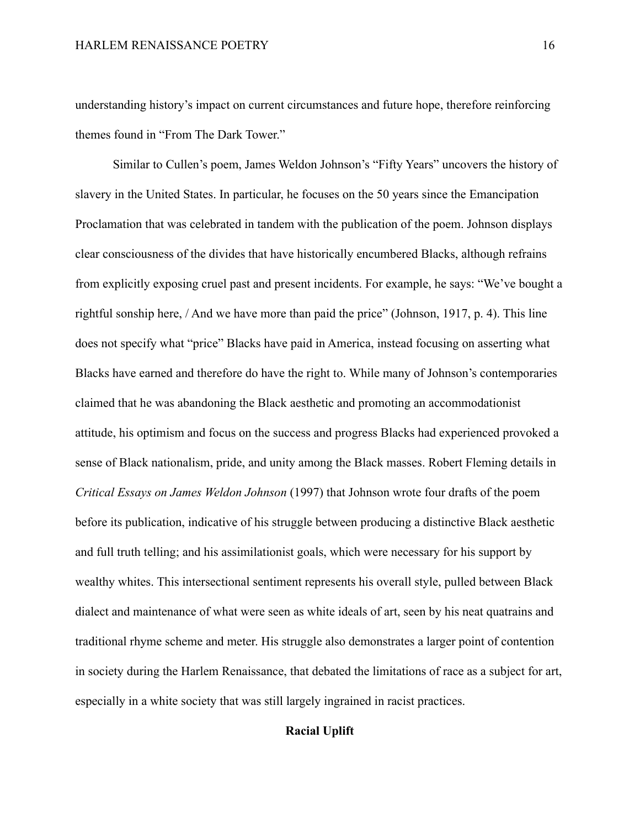understanding history's impact on current circumstances and future hope, therefore reinforcing themes found in "From The Dark Tower."

Similar to Cullen's poem, James Weldon Johnson's "Fifty Years" uncovers the history of slavery in the United States. In particular, he focuses on the 50 years since the Emancipation Proclamation that was celebrated in tandem with the publication of the poem. Johnson displays clear consciousness of the divides that have historically encumbered Blacks, although refrains from explicitly exposing cruel past and present incidents. For example, he says: "We've bought a rightful sonship here, / And we have more than paid the price" (Johnson, 1917, p. 4). This line does not specify what "price" Blacks have paid in America, instead focusing on asserting what Blacks have earned and therefore do have the right to. While many of Johnson's contemporaries claimed that he was abandoning the Black aesthetic and promoting an accommodationist attitude, his optimism and focus on the success and progress Blacks had experienced provoked a sense of Black nationalism, pride, and unity among the Black masses. Robert Fleming details in *Critical Essays on James Weldon Johnson* (1997) that Johnson wrote four drafts of the poem before its publication, indicative of his struggle between producing a distinctive Black aesthetic and full truth telling; and his assimilationist goals, which were necessary for his support by wealthy whites. This intersectional sentiment represents his overall style, pulled between Black dialect and maintenance of what were seen as white ideals of art, seen by his neat quatrains and traditional rhyme scheme and meter. His struggle also demonstrates a larger point of contention in society during the Harlem Renaissance, that debated the limitations of race as a subject for art, especially in a white society that was still largely ingrained in racist practices.

# **Racial Uplift**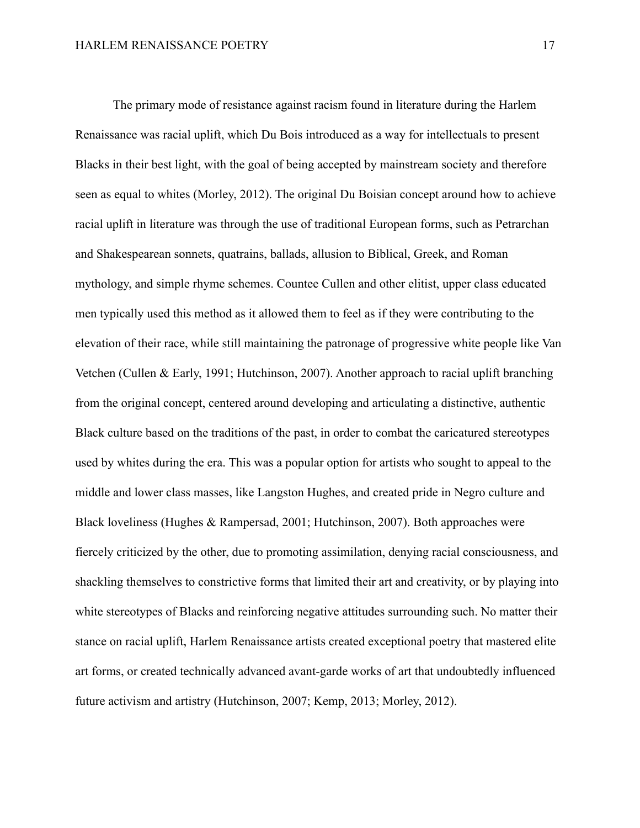The primary mode of resistance against racism found in literature during the Harlem Renaissance was racial uplift, which Du Bois introduced as a way for intellectuals to present Blacks in their best light, with the goal of being accepted by mainstream society and therefore seen as equal to whites (Morley, 2012). The original Du Boisian concept around how to achieve racial uplift in literature was through the use of traditional European forms, such as Petrarchan and Shakespearean sonnets, quatrains, ballads, allusion to Biblical, Greek, and Roman mythology, and simple rhyme schemes. Countee Cullen and other elitist, upper class educated men typically used this method as it allowed them to feel as if they were contributing to the elevation of their race, while still maintaining the patronage of progressive white people like Van Vetchen (Cullen & Early, 1991; Hutchinson, 2007). Another approach to racial uplift branching from the original concept, centered around developing and articulating a distinctive, authentic Black culture based on the traditions of the past, in order to combat the caricatured stereotypes used by whites during the era. This was a popular option for artists who sought to appeal to the middle and lower class masses, like Langston Hughes, and created pride in Negro culture and Black loveliness (Hughes & Rampersad, 2001; Hutchinson, 2007). Both approaches were fiercely criticized by the other, due to promoting assimilation, denying racial consciousness, and shackling themselves to constrictive forms that limited their art and creativity, or by playing into white stereotypes of Blacks and reinforcing negative attitudes surrounding such. No matter their stance on racial uplift, Harlem Renaissance artists created exceptional poetry that mastered elite art forms, or created technically advanced avant-garde works of art that undoubtedly influenced future activism and artistry (Hutchinson, 2007; Kemp, 2013; Morley, 2012).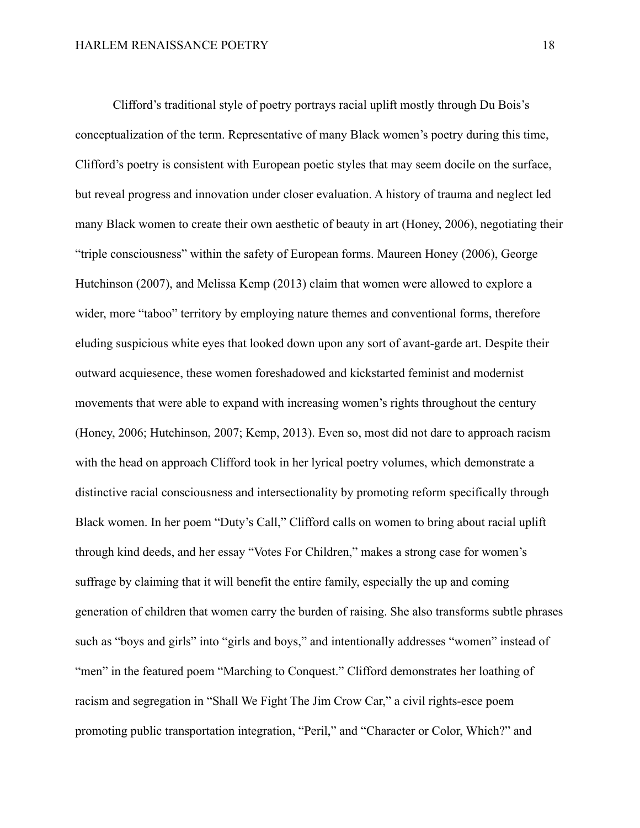Clifford's traditional style of poetry portrays racial uplift mostly through Du Bois's conceptualization of the term. Representative of many Black women's poetry during this time, Clifford's poetry is consistent with European poetic styles that may seem docile on the surface, but reveal progress and innovation under closer evaluation. A history of trauma and neglect led many Black women to create their own aesthetic of beauty in art (Honey, 2006), negotiating their "triple consciousness" within the safety of European forms. Maureen Honey (2006), George Hutchinson (2007), and Melissa Kemp (2013) claim that women were allowed to explore a wider, more "taboo" territory by employing nature themes and conventional forms, therefore eluding suspicious white eyes that looked down upon any sort of avant-garde art. Despite their outward acquiesence, these women foreshadowed and kickstarted feminist and modernist movements that were able to expand with increasing women's rights throughout the century (Honey, 2006; Hutchinson, 2007; Kemp, 2013). Even so, most did not dare to approach racism with the head on approach Clifford took in her lyrical poetry volumes, which demonstrate a distinctive racial consciousness and intersectionality by promoting reform specifically through Black women. In her poem "Duty's Call," Clifford calls on women to bring about racial uplift through kind deeds, and her essay "Votes For Children," makes a strong case for women's suffrage by claiming that it will benefit the entire family, especially the up and coming generation of children that women carry the burden of raising. She also transforms subtle phrases such as "boys and girls" into "girls and boys," and intentionally addresses "women" instead of "men" in the featured poem "Marching to Conquest." Clifford demonstrates her loathing of racism and segregation in "Shall We Fight The Jim Crow Car," a civil rights-esce poem promoting public transportation integration, "Peril," and "Character or Color, Which?" and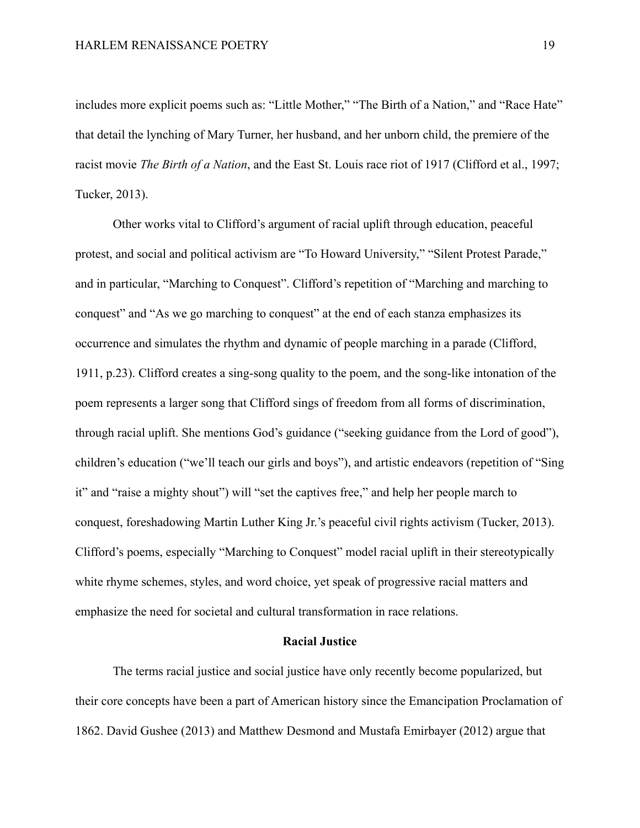includes more explicit poems such as: "Little Mother," "The Birth of a Nation," and "Race Hate" that detail the lynching of Mary Turner, her husband, and her unborn child, the premiere of the racist movie *The Birth of a Nation*, and the East St. Louis race riot of 1917 (Clifford et al., 1997; Tucker, 2013).

Other works vital to Clifford's argument of racial uplift through education, peaceful protest, and social and political activism are "To Howard University," "Silent Protest Parade," and in particular, "Marching to Conquest". Clifford's repetition of "Marching and marching to conquest" and "As we go marching to conquest" at the end of each stanza emphasizes its occurrence and simulates the rhythm and dynamic of people marching in a parade (Clifford, 1911, p.23). Clifford creates a sing-song quality to the poem, and the song-like intonation of the poem represents a larger song that Clifford sings of freedom from all forms of discrimination, through racial uplift. She mentions God's guidance ("seeking guidance from the Lord of good"), children's education ("we'll teach our girls and boys"), and artistic endeavors (repetition of "Sing it" and "raise a mighty shout") will "set the captives free," and help her people march to conquest, foreshadowing Martin Luther King Jr.'s peaceful civil rights activism (Tucker, 2013). Clifford's poems, especially "Marching to Conquest" model racial uplift in their stereotypically white rhyme schemes, styles, and word choice, yet speak of progressive racial matters and emphasize the need for societal and cultural transformation in race relations.

# **Racial Justice**

The terms racial justice and social justice have only recently become popularized, but their core concepts have been a part of American history since the Emancipation Proclamation of 1862. David Gushee (2013) and Matthew Desmond and Mustafa Emirbayer (2012) argue that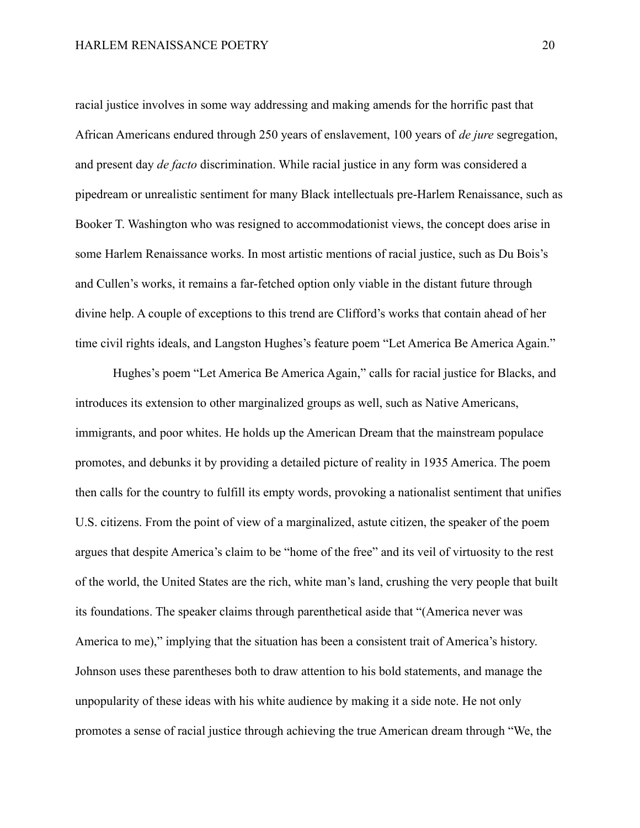racial justice involves in some way addressing and making amends for the horrific past that African Americans endured through 250 years of enslavement, 100 years of *de jure* segregation, and present day *de facto* discrimination. While racial justice in any form was considered a pipedream or unrealistic sentiment for many Black intellectuals pre-Harlem Renaissance, such as Booker T. Washington who was resigned to accommodationist views, the concept does arise in some Harlem Renaissance works. In most artistic mentions of racial justice, such as Du Bois's and Cullen's works, it remains a far-fetched option only viable in the distant future through divine help. A couple of exceptions to this trend are Clifford's works that contain ahead of her time civil rights ideals, and Langston Hughes's feature poem "Let America Be America Again."

Hughes's poem "Let America Be America Again," calls for racial justice for Blacks, and introduces its extension to other marginalized groups as well, such as Native Americans, immigrants, and poor whites. He holds up the American Dream that the mainstream populace promotes, and debunks it by providing a detailed picture of reality in 1935 America. The poem then calls for the country to fulfill its empty words, provoking a nationalist sentiment that unifies U.S. citizens. From the point of view of a marginalized, astute citizen, the speaker of the poem argues that despite America's claim to be "home of the free" and its veil of virtuosity to the rest of the world, the United States are the rich, white man's land, crushing the very people that built its foundations. The speaker claims through parenthetical aside that "(America never was America to me)," implying that the situation has been a consistent trait of America's history. Johnson uses these parentheses both to draw attention to his bold statements, and manage the unpopularity of these ideas with his white audience by making it a side note. He not only promotes a sense of racial justice through achieving the true American dream through "We, the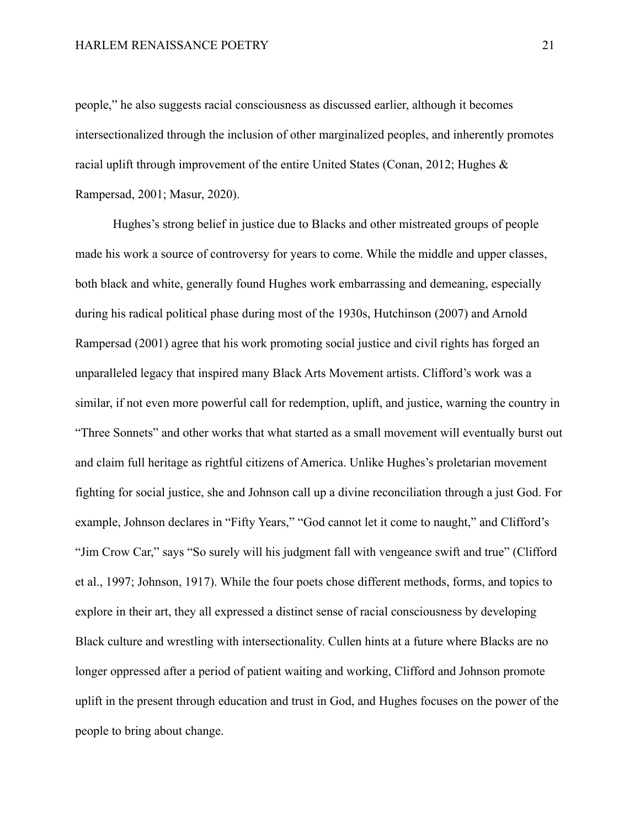people," he also suggests racial consciousness as discussed earlier, although it becomes intersectionalized through the inclusion of other marginalized peoples, and inherently promotes racial uplift through improvement of the entire United States (Conan, 2012; Hughes & Rampersad, 2001; Masur, 2020).

Hughes's strong belief in justice due to Blacks and other mistreated groups of people made his work a source of controversy for years to come. While the middle and upper classes, both black and white, generally found Hughes work embarrassing and demeaning, especially during his radical political phase during most of the 1930s, Hutchinson (2007) and Arnold Rampersad (2001) agree that his work promoting social justice and civil rights has forged an unparalleled legacy that inspired many Black Arts Movement artists. Clifford's work was a similar, if not even more powerful call for redemption, uplift, and justice, warning the country in "Three Sonnets" and other works that what started as a small movement will eventually burst out and claim full heritage as rightful citizens of America. Unlike Hughes's proletarian movement fighting for social justice, she and Johnson call up a divine reconciliation through a just God. For example, Johnson declares in "Fifty Years," "God cannot let it come to naught," and Clifford's "Jim Crow Car," says "So surely will his judgment fall with vengeance swift and true" (Clifford et al., 1997; Johnson, 1917). While the four poets chose different methods, forms, and topics to explore in their art, they all expressed a distinct sense of racial consciousness by developing Black culture and wrestling with intersectionality. Cullen hints at a future where Blacks are no longer oppressed after a period of patient waiting and working, Clifford and Johnson promote uplift in the present through education and trust in God, and Hughes focuses on the power of the people to bring about change.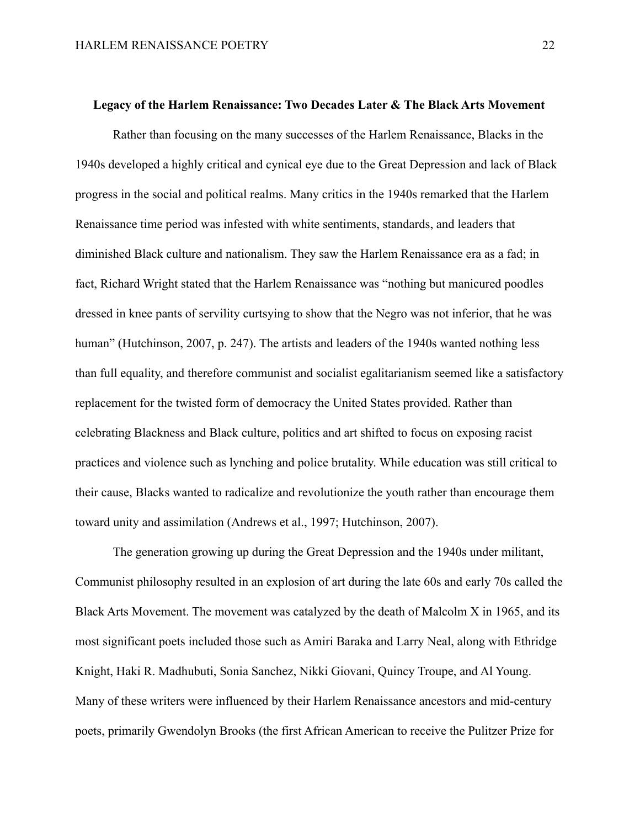### **Legacy of the Harlem Renaissance: Two Decades Later & The Black Arts Movement**

Rather than focusing on the many successes of the Harlem Renaissance, Blacks in the 1940s developed a highly critical and cynical eye due to the Great Depression and lack of Black progress in the social and political realms. Many critics in the 1940s remarked that the Harlem Renaissance time period was infested with white sentiments, standards, and leaders that diminished Black culture and nationalism. They saw the Harlem Renaissance era as a fad; in fact, Richard Wright stated that the Harlem Renaissance was "nothing but manicured poodles dressed in knee pants of servility curtsying to show that the Negro was not inferior, that he was human" (Hutchinson, 2007, p. 247). The artists and leaders of the 1940s wanted nothing less than full equality, and therefore communist and socialist egalitarianism seemed like a satisfactory replacement for the twisted form of democracy the United States provided. Rather than celebrating Blackness and Black culture, politics and art shifted to focus on exposing racist practices and violence such as lynching and police brutality. While education was still critical to their cause, Blacks wanted to radicalize and revolutionize the youth rather than encourage them toward unity and assimilation (Andrews et al., 1997; Hutchinson, 2007).

The generation growing up during the Great Depression and the 1940s under militant, Communist philosophy resulted in an explosion of art during the late 60s and early 70s called the Black Arts Movement. The movement was catalyzed by the death of Malcolm X in 1965, and its most significant poets included those such as Amiri Baraka and Larry Neal, along with Ethridge Knight, Haki R. Madhubuti, Sonia Sanchez, Nikki Giovani, Quincy Troupe, and Al Young. Many of these writers were influenced by their Harlem Renaissance ancestors and mid-century poets, primarily Gwendolyn Brooks (the first African American to receive the Pulitzer Prize for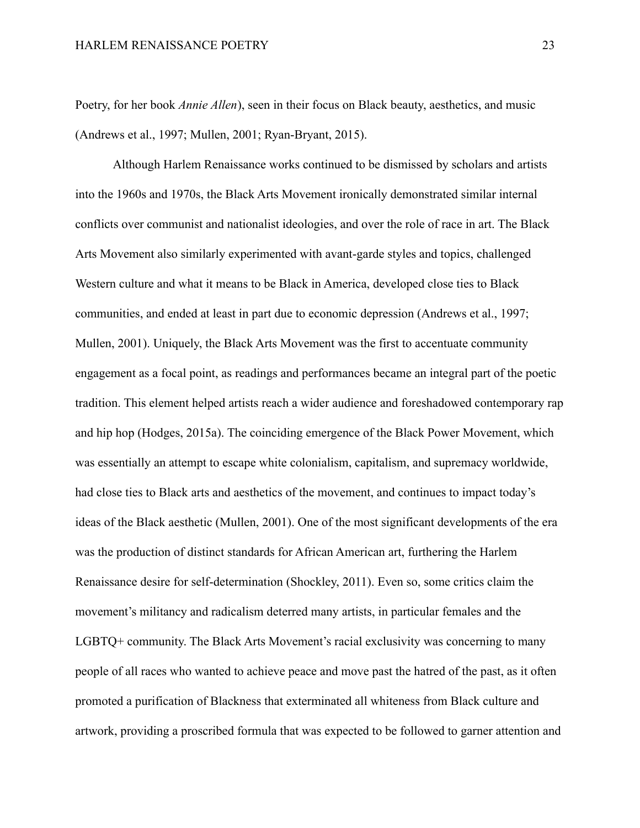Poetry, for her book *Annie Allen*), seen in their focus on Black beauty, aesthetics, and music (Andrews et al., 1997; Mullen, 2001; Ryan-Bryant, 2015).

Although Harlem Renaissance works continued to be dismissed by scholars and artists into the 1960s and 1970s, the Black Arts Movement ironically demonstrated similar internal conflicts over communist and nationalist ideologies, and over the role of race in art. The Black Arts Movement also similarly experimented with avant-garde styles and topics, challenged Western culture and what it means to be Black in America, developed close ties to Black communities, and ended at least in part due to economic depression (Andrews et al., 1997; Mullen, 2001). Uniquely, the Black Arts Movement was the first to accentuate community engagement as a focal point, as readings and performances became an integral part of the poetic tradition. This element helped artists reach a wider audience and foreshadowed contemporary rap and hip hop (Hodges, 2015a). The coinciding emergence of the Black Power Movement, which was essentially an attempt to escape white colonialism, capitalism, and supremacy worldwide, had close ties to Black arts and aesthetics of the movement, and continues to impact today's ideas of the Black aesthetic (Mullen, 2001). One of the most significant developments of the era was the production of distinct standards for African American art, furthering the Harlem Renaissance desire for self-determination (Shockley, 2011). Even so, some critics claim the movement's militancy and radicalism deterred many artists, in particular females and the LGBTQ+ community. The Black Arts Movement's racial exclusivity was concerning to many people of all races who wanted to achieve peace and move past the hatred of the past, as it often promoted a purification of Blackness that exterminated all whiteness from Black culture and artwork, providing a proscribed formula that was expected to be followed to garner attention and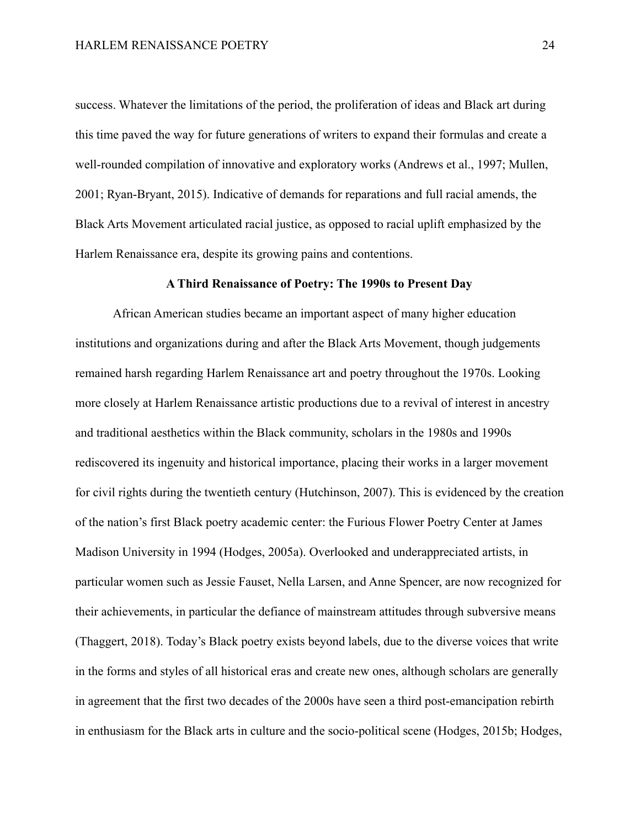success. Whatever the limitations of the period, the proliferation of ideas and Black art during this time paved the way for future generations of writers to expand their formulas and create a well-rounded compilation of innovative and exploratory works (Andrews et al., 1997; Mullen, 2001; Ryan-Bryant, 2015). Indicative of demands for reparations and full racial amends, the Black Arts Movement articulated racial justice, as opposed to racial uplift emphasized by the Harlem Renaissance era, despite its growing pains and contentions.

# **A Third Renaissance of Poetry: The 1990s to Present Day**

African American studies became an important aspect of many higher education institutions and organizations during and after the Black Arts Movement, though judgements remained harsh regarding Harlem Renaissance art and poetry throughout the 1970s. Looking more closely at Harlem Renaissance artistic productions due to a revival of interest in ancestry and traditional aesthetics within the Black community, scholars in the 1980s and 1990s rediscovered its ingenuity and historical importance, placing their works in a larger movement for civil rights during the twentieth century (Hutchinson, 2007). This is evidenced by the creation of the nation's first Black poetry academic center: the Furious Flower Poetry Center at James Madison University in 1994 (Hodges, 2005a). Overlooked and underappreciated artists, in particular women such as Jessie Fauset, Nella Larsen, and Anne Spencer, are now recognized for their achievements, in particular the defiance of mainstream attitudes through subversive means (Thaggert, 2018). Today's Black poetry exists beyond labels, due to the diverse voices that write in the forms and styles of all historical eras and create new ones, although scholars are generally in agreement that the first two decades of the 2000s have seen a third post-emancipation rebirth in enthusiasm for the Black arts in culture and the socio-political scene (Hodges, 2015b; Hodges,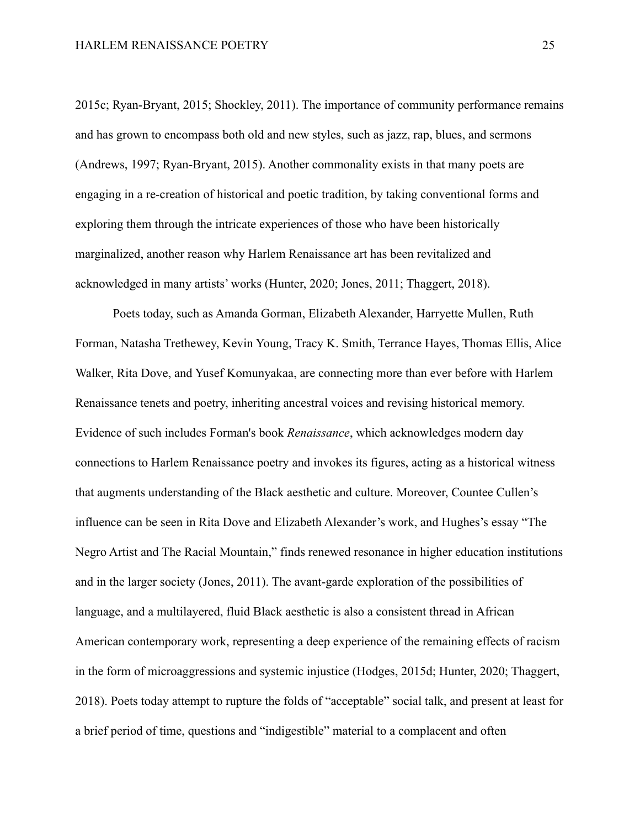2015c; Ryan-Bryant, 2015; Shockley, 2011). The importance of community performance remains and has grown to encompass both old and new styles, such as jazz, rap, blues, and sermons (Andrews, 1997; Ryan-Bryant, 2015). Another commonality exists in that many poets are engaging in a re-creation of historical and poetic tradition, by taking conventional forms and exploring them through the intricate experiences of those who have been historically marginalized, another reason why Harlem Renaissance art has been revitalized and acknowledged in many artists' works (Hunter, 2020; Jones, 2011; Thaggert, 2018).

Poets today, such as Amanda Gorman, Elizabeth Alexander, Harryette Mullen, Ruth Forman, Natasha Trethewey, Kevin Young, Tracy K. Smith, Terrance Hayes, Thomas Ellis, Alice Walker, Rita Dove, and Yusef Komunyakaa, are connecting more than ever before with Harlem Renaissance tenets and poetry, inheriting ancestral voices and revising historical memory. Evidence of such includes Forman's book *Renaissance*, which acknowledges modern day connections to Harlem Renaissance poetry and invokes its figures, acting as a historical witness that augments understanding of the Black aesthetic and culture. Moreover, Countee Cullen's influence can be seen in Rita Dove and Elizabeth Alexander's work, and Hughes's essay "The Negro Artist and The Racial Mountain," finds renewed resonance in higher education institutions and in the larger society (Jones, 2011). The avant-garde exploration of the possibilities of language, and a multilayered, fluid Black aesthetic is also a consistent thread in African American contemporary work, representing a deep experience of the remaining effects of racism in the form of microaggressions and systemic injustice (Hodges, 2015d; Hunter, 2020; Thaggert, 2018). Poets today attempt to rupture the folds of "acceptable" social talk, and present at least for a brief period of time, questions and "indigestible" material to a complacent and often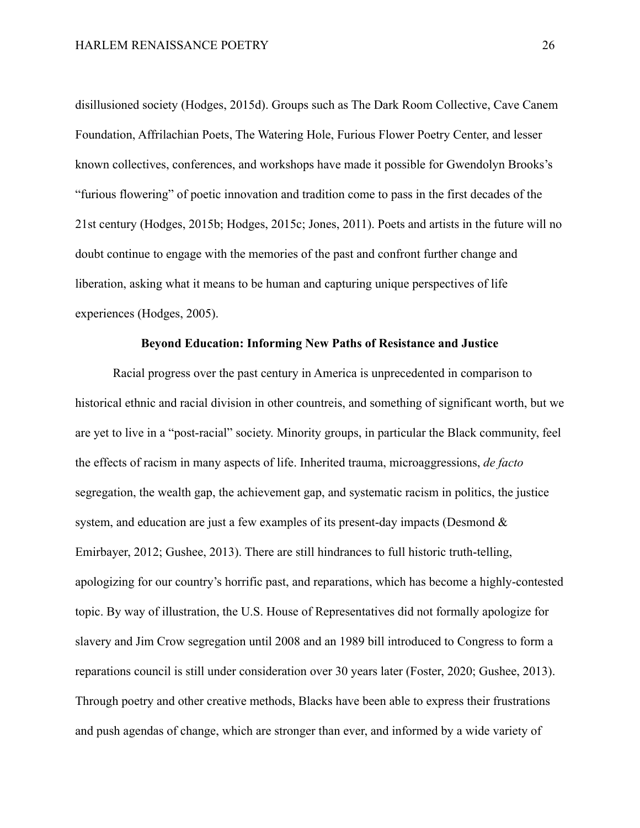disillusioned society (Hodges, 2015d). Groups such as The Dark Room Collective, Cave Canem Foundation, Affrilachian Poets, The Watering Hole, Furious Flower Poetry Center, and lesser known collectives, conferences, and workshops have made it possible for Gwendolyn Brooks's "furious flowering" of poetic innovation and tradition come to pass in the first decades of the 21st century (Hodges, 2015b; Hodges, 2015c; Jones, 2011). Poets and artists in the future will no doubt continue to engage with the memories of the past and confront further change and liberation, asking what it means to be human and capturing unique perspectives of life experiences (Hodges, 2005).

## **Beyond Education: Informing New Paths of Resistance and Justice**

Racial progress over the past century in America is unprecedented in comparison to historical ethnic and racial division in other countreis, and something of significant worth, but we are yet to live in a "post-racial" society. Minority groups, in particular the Black community, feel the effects of racism in many aspects of life. Inherited trauma, microaggressions, *de facto* segregation, the wealth gap, the achievement gap, and systematic racism in politics, the justice system, and education are just a few examples of its present-day impacts (Desmond & Emirbayer, 2012; Gushee, 2013). There are still hindrances to full historic truth-telling, apologizing for our country's horrific past, and reparations, which has become a highly-contested topic. By way of illustration, the U.S. House of Representatives did not formally apologize for slavery and Jim Crow segregation until 2008 and an 1989 bill introduced to Congress to form a reparations council is still under consideration over 30 years later (Foster, 2020; Gushee, 2013). Through poetry and other creative methods, Blacks have been able to express their frustrations and push agendas of change, which are stronger than ever, and informed by a wide variety of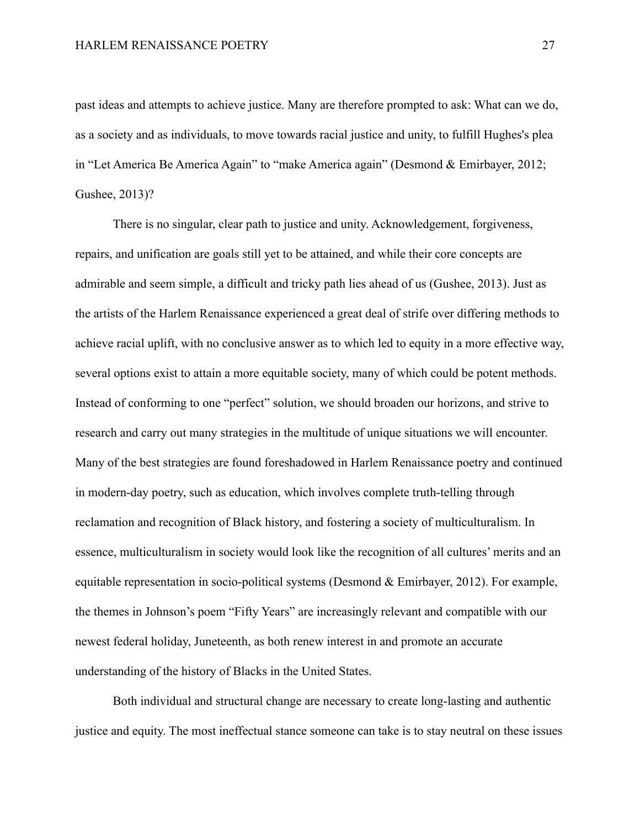past ideas and attempts to achieve justice. Many are therefore prompted to ask: What can we do, as a society and as individuals, to move towards racial justice and unity, to fulfill Hughes's plea in "Let America Be America Again" to "make America again" (Desmond & Emirbayer, 2012; Gushee, 2013)?

There is no singular, clear path to justice and unity. Acknowledgement, forgiveness, repairs, and unification are goals still yet to be attained, and while their core concepts are admirable and seem simple, a difficult and tricky path lies ahead of us (Gushee, 2013). Just as the artists of the Harlem Renaissance experienced a great deal of strife over differing methods to achieve racial uplift, with no conclusive answer as to which led to equity in a more effective way, several options exist to attain a more equitable society, many of which could be potent methods. Instead of conforming to one "perfect" solution, we should broaden our horizons, and strive to research and carry out many strategies in the multitude of unique situations we will encounter. Many of the best strategies are found foreshadowed in Harlem Renaissance poetry and continued in modern-day poetry, such as education, which involves complete truth-telling through reclamation and recognition of Black history, and fostering a society of multiculturalism. In essence, multiculturalism in society would look like the recognition of all cultures' merits and an equitable representation in socio-political systems (Desmond & Emirbayer, 2012). For example, the themes in Johnson's poem "Fifty Years" are increasingly relevant and compatible with our newest federal holiday, Juneteenth, as both renew interest in and promote an accurate understanding of the history of Blacks in the United States.

Both individual and structural change are necessary to create long-lasting and authentic justice and equity. The most ineffectual stance someone can take is to stay neutral on these issues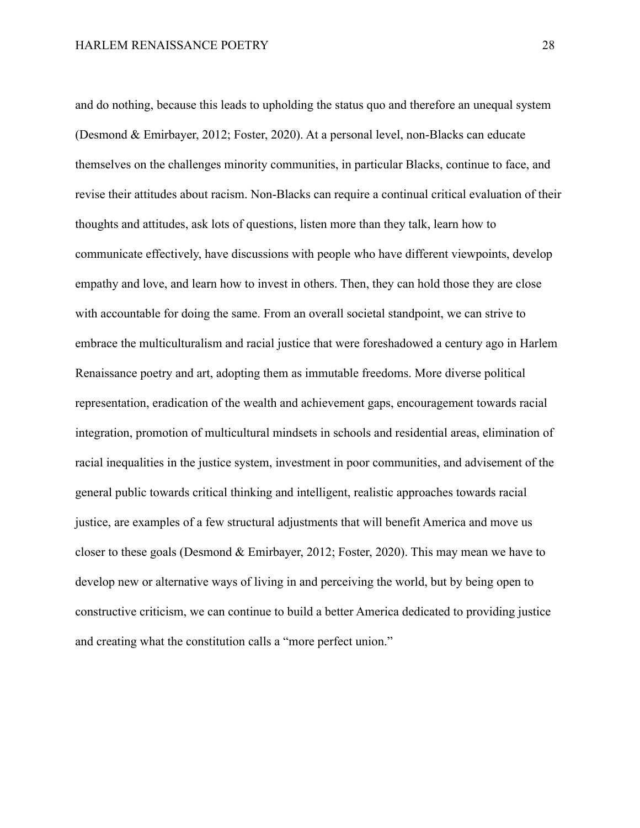and do nothing, because this leads to upholding the status quo and therefore an unequal system (Desmond & Emirbayer, 2012; Foster, 2020). At a personal level, non-Blacks can educate themselves on the challenges minority communities, in particular Blacks, continue to face, and revise their attitudes about racism. Non-Blacks can require a continual critical evaluation of their thoughts and attitudes, ask lots of questions, listen more than they talk, learn how to communicate effectively, have discussions with people who have different viewpoints, develop empathy and love, and learn how to invest in others. Then, they can hold those they are close with accountable for doing the same. From an overall societal standpoint, we can strive to embrace the multiculturalism and racial justice that were foreshadowed a century ago in Harlem Renaissance poetry and art, adopting them as immutable freedoms. More diverse political representation, eradication of the wealth and achievement gaps, encouragement towards racial integration, promotion of multicultural mindsets in schools and residential areas, elimination of racial inequalities in the justice system, investment in poor communities, and advisement of the general public towards critical thinking and intelligent, realistic approaches towards racial justice, are examples of a few structural adjustments that will benefit America and move us closer to these goals (Desmond & Emirbayer, 2012; Foster, 2020). This may mean we have to develop new or alternative ways of living in and perceiving the world, but by being open to constructive criticism, we can continue to build a better America dedicated to providing justice and creating what the constitution calls a "more perfect union."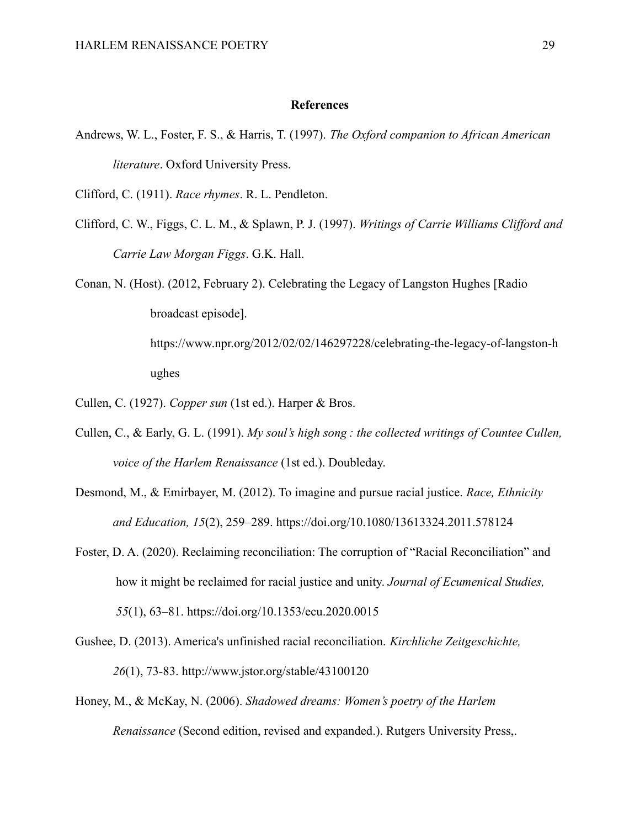### **References**

- Andrews, W. L., Foster, F. S., & Harris, T. (1997). *The Oxford companion to African American literature*. Oxford University Press.
- Clifford, C. (1911). *Race rhymes*. R. L. Pendleton.
- Clifford, C. W., Figgs, C. L. M., & Splawn, P. J. (1997). *Writings of Carrie Williams Clifford and Carrie Law Morgan Figgs*. G.K. Hall.
- Conan, N. (Host). (2012, February 2). Celebrating the Legacy of Langston Hughes [Radio broadcast episode]. https://www.npr.org/2012/02/02/146297228/celebrating-the-legacy-of-langston-h

ughes

- Cullen, C. (1927). *Copper sun* (1st ed.). Harper & Bros.
- Cullen, C., & Early, G. L. (1991). *My soul's high song : the collected writings of Countee Cullen, voice of the Harlem Renaissance* (1st ed.). Doubleday.
- Desmond, M., & Emirbayer, M. (2012). To imagine and pursue racial justice. *Race, Ethnicity and Education, 15*(2), 259–289. https://doi.org/10.1080/13613324.2011.578124
- Foster, D. A. (2020). Reclaiming reconciliation: The corruption of "Racial Reconciliation" and how it might be reclaimed for racial justice and unity. *Journal of Ecumenical Studies, 55*(1), 63–81. https://doi.org/10.1353/ecu.2020.0015
- Gushee, D. (2013). America's unfinished racial reconciliation. *Kirchliche Zeitgeschichte, 26*(1), 73-83. http://www.jstor.org/stable/43100120
- Honey, M., & McKay, N. (2006). *Shadowed dreams: Women's poetry of the Harlem Renaissance* (Second edition, revised and expanded.). Rutgers University Press,.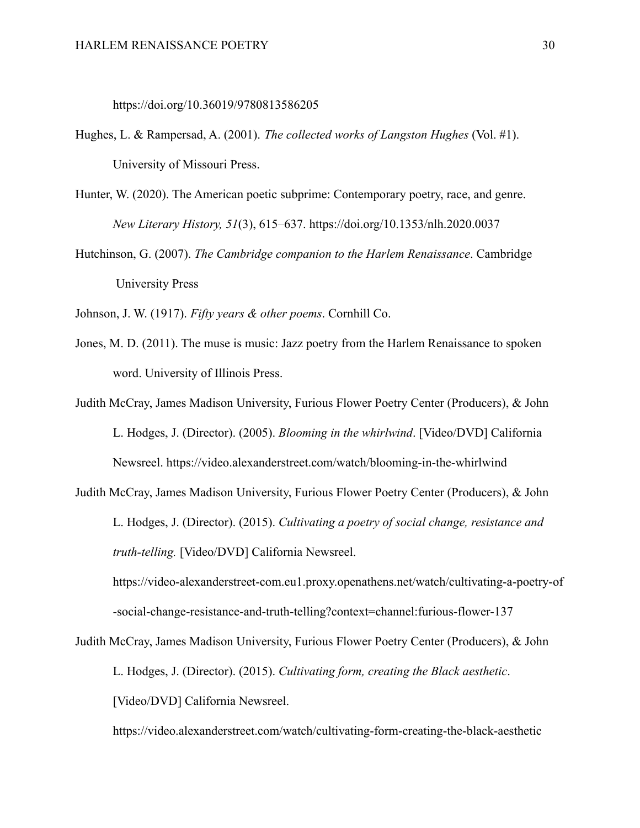https://doi.org/10.36019/9780813586205

- Hughes, L. & Rampersad, A. (2001). *The collected works of Langston Hughes* (Vol. #1). University of Missouri Press.
- Hunter, W. (2020). The American poetic subprime: Contemporary poetry, race, and genre. *New Literary History, 51*(3), 615–637. https://doi.org/10.1353/nlh.2020.0037
- Hutchinson, G. (2007). *The Cambridge companion to the Harlem Renaissance*. Cambridge University Press
- Johnson, J. W. (1917). *Fifty years & other poems*. Cornhill Co.
- Jones, M. D. (2011). The muse is music: Jazz poetry from the Harlem Renaissance to spoken word. University of Illinois Press.
- Judith McCray, James Madison University, Furious Flower Poetry Center (Producers), & John L. Hodges, J. (Director). (2005). *Blooming in the whirlwind*. [Video/DVD] California Newsreel. https://video.alexanderstreet.com/watch/blooming-in-the-whirlwind
- Judith McCray, James Madison University, Furious Flower Poetry Center (Producers), & John L. Hodges, J. (Director). (2015). *Cultivating a poetry of social change, resistance and truth-telling.* [Video/DVD] California Newsreel.

https://video-alexanderstreet-com.eu1.proxy.openathens.net/watch/cultivating-a-poetry-of -social-change-resistance-and-truth-telling?context=channel:furious-flower-137

Judith McCray, James Madison University, Furious Flower Poetry Center (Producers), & John L. Hodges, J. (Director). (2015). *Cultivating form, creating the Black aesthetic*. [Video/DVD] California Newsreel.

https://video.alexanderstreet.com/watch/cultivating-form-creating-the-black-aesthetic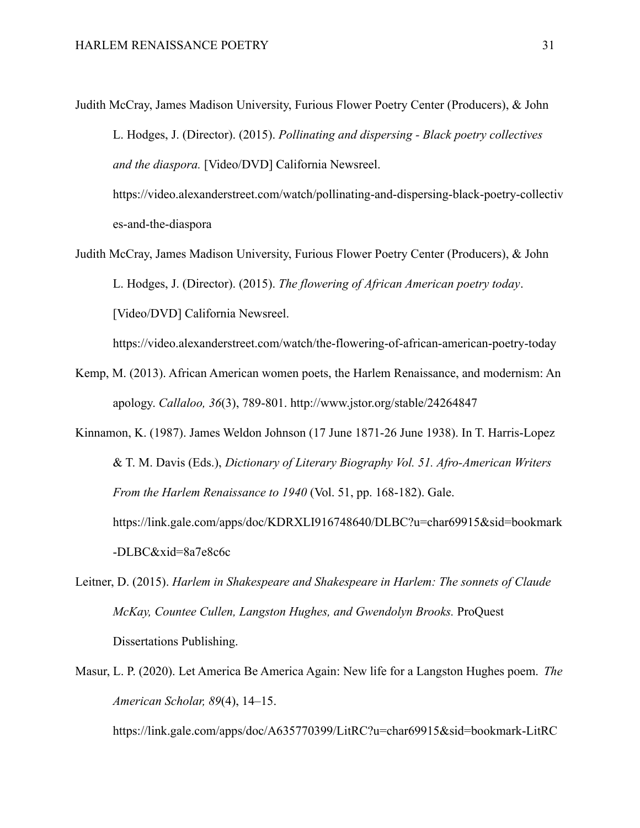Judith McCray, James Madison University, Furious Flower Poetry Center (Producers), & John L. Hodges, J. (Director). (2015). *Pollinating and dispersing - Black poetry collectives and the diaspora.* [Video/DVD] California Newsreel.

https://video.alexanderstreet.com/watch/pollinating-and-dispersing-black-poetry-collectiv es-and-the-diaspora

Judith McCray, James Madison University, Furious Flower Poetry Center (Producers), & John L. Hodges, J. (Director). (2015). *The flowering of African American poetry today*. [Video/DVD] California Newsreel.

https://video.alexanderstreet.com/watch/the-flowering-of-african-american-poetry-today

- Kemp, M. (2013). African American women poets, the Harlem Renaissance, and modernism: An apology. *Callaloo, 36*(3), 789-801. http://www.jstor.org/stable/24264847
- Kinnamon, K. (1987). James Weldon Johnson (17 June 1871-26 June 1938). In T. Harris-Lopez & T. M. Davis (Eds.), *Dictionary of Literary Biography Vol. 51. Afro-American Writers From the Harlem Renaissance to 1940* (Vol. 51, pp. 168-182). Gale. https://link.gale.com/apps/doc/KDRXLI916748640/DLBC?u=char69915&sid=bookmark -DLBC&xid=8a7e8c6c
- Leitner, D. (2015). *Harlem in Shakespeare and Shakespeare in Harlem: The sonnets of Claude McKay, Countee Cullen, Langston Hughes, and Gwendolyn Brooks.* ProQuest Dissertations Publishing.
- Masur, L. P. (2020). Let America Be America Again: New life for a Langston Hughes poem. *The American Scholar, 89*(4), 14–15.

https://link.gale.com/apps/doc/A635770399/LitRC?u=char69915&sid=bookmark-LitRC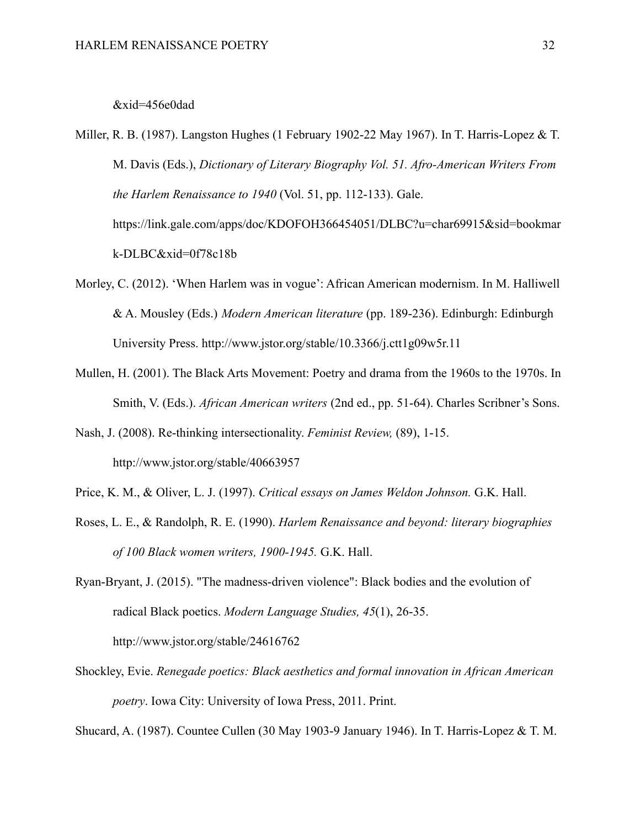### &xid=456e0dad

Miller, R. B. (1987). Langston Hughes (1 February 1902-22 May 1967). In T. Harris-Lopez & T. M. Davis (Eds.), *Dictionary of Literary Biography Vol. 51. Afro-American Writers From the Harlem Renaissance to 1940* (Vol. 51, pp. 112-133). Gale. https://link.gale.com/apps/doc/KDOFOH366454051/DLBC?u=char69915&sid=bookmar k-DLBC&xid=0f78c18b

- Morley, C. (2012). 'When Harlem was in vogue': African American modernism. In M. Halliwell & A. Mousley (Eds.) *Modern American literature* (pp. 189-236). Edinburgh: Edinburgh University Press. http://www.jstor.org/stable/10.3366/j.ctt1g09w5r.11
- Mullen, H. (2001). The Black Arts Movement: Poetry and drama from the 1960s to the 1970s. In Smith, V. (Eds.). *African American writers* (2nd ed., pp. 51-64). Charles Scribner's Sons.
- Nash, J. (2008). Re-thinking intersectionality. *Feminist Review,* (89), 1-15. http://www.jstor.org/stable/40663957
- Price, K. M., & Oliver, L. J. (1997). *Critical essays on James Weldon Johnson.* G.K. Hall.
- Roses, L. E., & Randolph, R. E. (1990). *Harlem Renaissance and beyond: literary biographies of 100 Black women writers, 1900-1945.* G.K. Hall.

Ryan-Bryant, J. (2015). "The madness-driven violence": Black bodies and the evolution of radical Black poetics. *Modern Language Studies, 45*(1), 26-35. http://www.jstor.org/stable/24616762

Shockley, Evie. *Renegade poetics: Black aesthetics and formal innovation in African American poetry*. Iowa City: University of Iowa Press, 2011. Print.

Shucard, A. (1987). Countee Cullen (30 May 1903-9 January 1946). In T. Harris-Lopez & T. M.